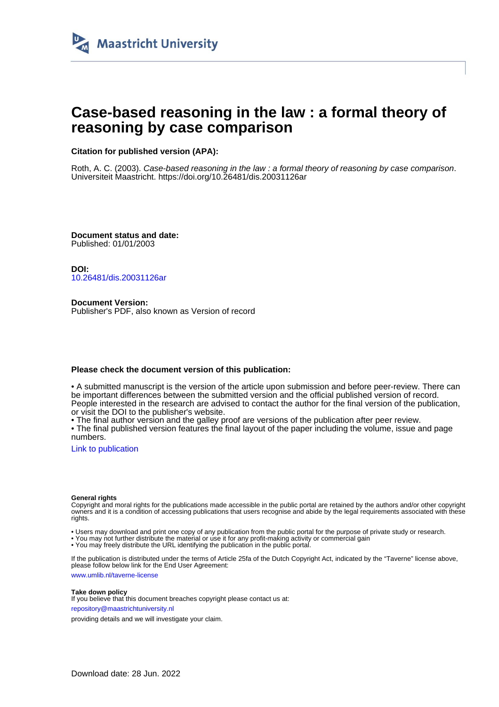

# **Case-based reasoning in the law : a formal theory of reasoning by case comparison**

### **Citation for published version (APA):**

Roth, A. C. (2003). Case-based reasoning in the law : a formal theory of reasoning by case comparison. Universiteit Maastricht. <https://doi.org/10.26481/dis.20031126ar>

**Document status and date:** Published: 01/01/2003

**DOI:** [10.26481/dis.20031126ar](https://doi.org/10.26481/dis.20031126ar)

**Document Version:** Publisher's PDF, also known as Version of record

#### **Please check the document version of this publication:**

• A submitted manuscript is the version of the article upon submission and before peer-review. There can be important differences between the submitted version and the official published version of record. People interested in the research are advised to contact the author for the final version of the publication, or visit the DOI to the publisher's website.

• The final author version and the galley proof are versions of the publication after peer review.

• The final published version features the final layout of the paper including the volume, issue and page numbers.

[Link to publication](https://cris.maastrichtuniversity.nl/en/publications/432b58f7-61ec-4b35-b9d4-d8b8e1740dcf)

#### **General rights**

Copyright and moral rights for the publications made accessible in the public portal are retained by the authors and/or other copyright owners and it is a condition of accessing publications that users recognise and abide by the legal requirements associated with these rights.

• Users may download and print one copy of any publication from the public portal for the purpose of private study or research.

• You may not further distribute the material or use it for any profit-making activity or commercial gain

• You may freely distribute the URL identifying the publication in the public portal.

If the publication is distributed under the terms of Article 25fa of the Dutch Copyright Act, indicated by the "Taverne" license above, please follow below link for the End User Agreement:

www.umlib.nl/taverne-license

#### **Take down policy**

If you believe that this document breaches copyright please contact us at: repository@maastrichtuniversity.nl

providing details and we will investigate your claim.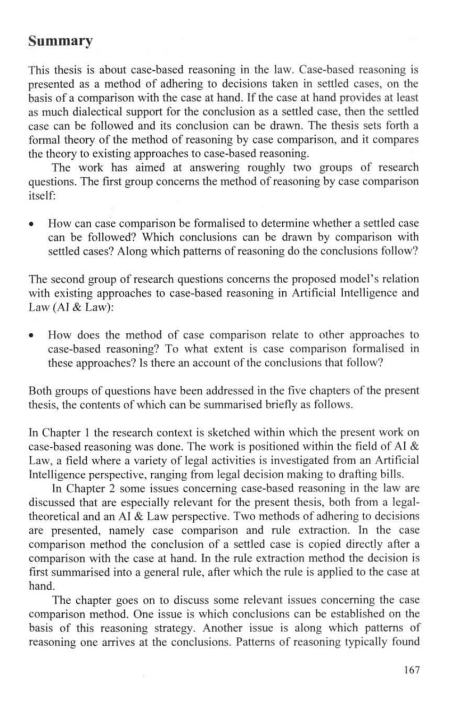### **Summary**

This thesis is about case-based reasoning in the law. Case-based reasoning is presented as a method of adhering to decisions taken in settled cases, on the basis of a comparison with the case at hand. If the case at hand provides at least as much dialectical support for the conclusion as a settled case, then the settled case can be followed and its conclusion can be drawn. The thesis sets forth a formal theory of the method of reasoning by case comparison, and it compares the theory to existing approaches to case-based reasoning.

The work has aimed at answering roughly two groups of research questions. The first group concerns the method of reasoning by case comparison itself:

• How can case comparison be formalised to determine whether a settled case can be followed? Which conclusions can be drawn by comparison with settled cases? Along which patterns of reasoning do the conclusions follow?

The second group of research questions concerns the proposed model's relation with existing approaches to case-based reasoning in Artificial Intelligence and Law (AI & Law):

• How does the method of case comparison relate to other approaches to case-based reasoning? To what extent is case comparison formalised in these approaches? Is there an account of the conclusions that follow?

Both groups of questions have been addressed in the five chapters of the present thesis, the contents of which can be summarised briefly as follows.

In Chapter 1 the research context is sketched within which the present work on case-based reasoning was done. The work is positioned within the field of AI & Law, a field where a variety of legal activities is investigated from an Artificial Intelligence perspective, ranging from legal decision making to drafting bills.

In Chapter 2 some issues concerning case-based reasoning in the law are discussed that are especially relevant for the present thesis, both from a legaltheoretical and an AI & Law perspective. Two methods of adhering to decisions are presented, namely case comparison and rule extraction. In the case comparison method the conclusion of a settled case is copied directly after a comparison with the case at hand. In the rule extraction method the decision is first summarised into a general rule, after which the rule is applied to the case at hand.

The chapter goes on to discuss some relevant issues concerning the case comparison method. One issue is which conclusions can be established on the basis of this reasoning strategy. Another issue is along which patterns of reasoning one arrives at the conclusions. Patterns of reasoning typically found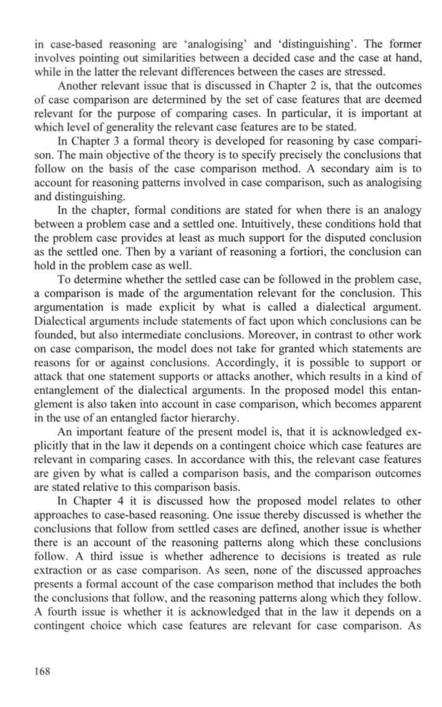in case-based reasoning are 'analogising' and 'distinguishing'. The former involves pointing out similarities between a decided case and the case at hand, while in the latter the relevant differences between the cases are stressed.

Another relevant issue that is discussed in Chapter 2 is, that the outcomes of case comparison are determined by the set of case features that are deemed relevant for the purpose of comparing cases. In particular, it is important at which level of generality the relevant case features are to be stated.

In Chapter 3 a formal theory is developed for reasoning by case comparison. The main objective of the theory is to specify precisely the conclusions that follow on the basis of the case comparison method. A secondary aim is to account for reasoning patterns involved in case comparison, such as analogising and distinguishing.

In the chapter, formal conditions are stated for when there is an analogy between a problem case and a settled one. Intuitively, these conditions hold that the problem case provides at least as much support for the disputed conclusion as the settled one. Then by a variant of reasoning a fortiori, the conclusion can hold in the problem case as well.

To determine whether the settled case can be followed in the problem case, a comparison is made of the argumentation relevant for the conclusion. This argumentation is made explicit by what is called a dialectical argument. Dialectical arguments include statements of fact upon which conclusions can be founded, but also intermediate conclusions. Moreover, in contrast to other work on case comparison, the model does not take for granted which statements are reasons for or against conclusions. Accordingly, it is possible to support or attack that one statement supports or attacks another, which results in a kind of entanglement of the dialectical arguments. In the proposed model this entanglement is also taken into account in case comparison, which becomes apparent in the use of an entangled factor hierarchy.

An important feature of the present model is, that it is acknowledged explicitly that in the law it depends on a contingent choice which case features are relevant in comparing cases. In accordance with this, the relevant case features are given by what is called a comparison basis, and the comparison outcomes are stated relative to this comparison basis.

In Chapter 4 it is discussed how the proposed model relates to other approaches to case-based reasoning. One issue thereby discussed is whether the conclusions that follow from settled cases are defined, another issue is whether there is an account of the reasoning patterns along which these conclusions follow. A third issue is whether adherence to decisions is treated as rule extraction or as case comparison. As seen, none of the discussed approaches presents a formal account of the case comparison method that includes the both the conclusions that follow, and the reasoning patterns along which they follow. A fourth issue is whether it is acknowledged that in the law it depends on a contingent choice which case features are relevant for case comparison. As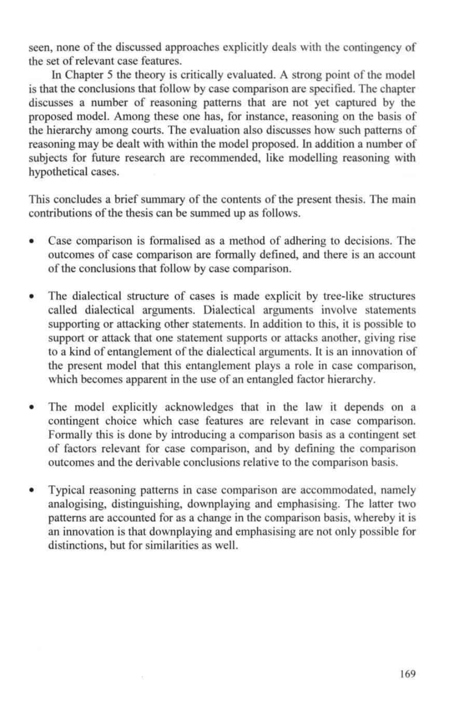seen, none of the discussed approaches explicitly deals with the contingency of the set of relevant case features.

In Chapter 5 the theory is critically evaluated. A strong point of the model is that the conclusions that follow by case comparison are specified. The chapter discusses a number of reasoning patterns that are not yet captured by the proposed model. Among these one has, for instance, reasoning on the basis of the hierarchy among courts. The evaluation also discusses how such patterns of reasoning may be dealt with within the model proposed. In addition a number of subjects for future research are recommended, like modelling reasoning with hypothetical cases.

This concludes a brief summary of the contents of the present thesis. The **main** contributions of the thesis can be summed up as follows.

- Case comparison is formalised as a method of adhering to decisions. The outcomes of case comparison are formally defined, and there is an account of the conclusions that follow by case comparison.
- The dialectical structure of cases is made explicit by tree-like structures called dialectical arguments. Dialectical arguments involve statements supporting or attacking other statements. In addition to this, it is possible to support or attack that one statement supports or attacks another, giving rise to a kind of entanglement of the dialectical arguments. It is an innovation of the present model that this entanglement plays a role in case comparison, which becomes apparent in the use of an entangled factor hierarchy.
- The model explicitly acknowledges that in the law it depends on **a** contingent choice which case features are relevant in case comparison. Formally this is done by introducing a comparison basis as a contingent set of factors relevant for case comparison, and by defining the comparison outcomes and the derivable conclusions relative to the comparison basis.
- Typical reasoning patterns in case comparison are accommodated, namely analogising, distinguishing, downplaying and emphasising. The latter two patterns are accounted for as a change in the comparison basis, whereby it is an innovation is that downplaying and emphasising are not only possible for distinctions, but for similarities as well.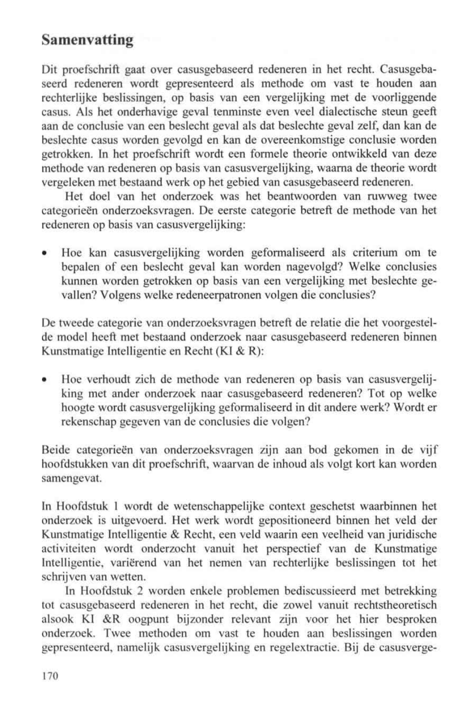## Samenvatting

Dit proefschrift gaat over casusgebaseerd redeneren in het recht. Casusgebaseerd redeneren wordt gepresenteerd als methode om vast te houden aan rechterlijke beslissingen, op basis van een vergelijking met de voorliggende casus. Als het onderhavige geval tenminste even veel dialectische steun geeft aan de conclusie van een beslecht geval als dat beslechte geval zelf, dan kan de beslechte casus worden gevolgd en kan de overeenkomstige conclusie worden getrokken. In het proefschrift wordt een formele theorie ontwikkeld van deze methode van redeneren op basis van casusvergelijking, waarna de theorie wordt vergeleken met bestaand werk op het gebied van casusgebaseerd redeneren.

Het doel van het onderzoek was het beantwoorden van ruwweg twee categorieën onderzoeksvragen. De eerste categorie betreft de methode van het redeneren op basis van casusvergelijking:

• Hoe kan casusvergelijking worden geformaliseerd als criterium om te bepalen of een beslecht geval kan worden nagevolgd? Welke conclusies kunnen worden getrokken op basis van een vergelijking met beslechte gevallen? Volgens welke redeneerpatronen volgen die conclusies?

De tweede categorie van onderzoeksvragen betreft de relatie die het voorgestelde model heeft met bestaand onderzoek naar casusgebaseerd redeneren binnen Kunstmatige Intelligentie en Recht (KI & R):

• Hoe verhoudt zieh de methode van redeneren op basis van casusvergelijking met ander onderzoek naar casusgebaseerd redeneren? Tot op welke hoogte wordt casusvergelijking geformaliseerd in dit andere werk? Wordt er rekenschap gegeven van de conclusies die volgen?

Beide categorieën van onderzoeksvragen zijn aan bod gekomen in de vijf hoofdstukken van dit proefschrift, waarvan de inhoud als volgt kort kan worden samengevat.

In Hoofdstuk 1 wordt de wetenschappelijke context geschetst waarbinnen het onderzoek is uitgevoerd. Het werk wordt gepositioneerd binnen het veld der Kunstmatige Intelligentie & Recht, een veld waarin een veelheid van juridische activiteiten wordt onderzocht vanuit het perspectief van de Kunstmatige Intelligentie, varierend van het nemen van rechterlijke beslissingen tot het schrijven van wetten.

In Hoofdstuk 2 worden enkele problemen bediscussieerd met betrekking tot casusgebaseerd redeneren in het recht, die zowel vanuit rechtstheoretisch alsook KI &R oogpunt bijzonder relevant zijn voor het hier besproken onderzoek. Twee methoden om vast te houden aan beslissingen worden gepresenteerd, namelijk casusvergelijking en regelextractie. Bij de casusverge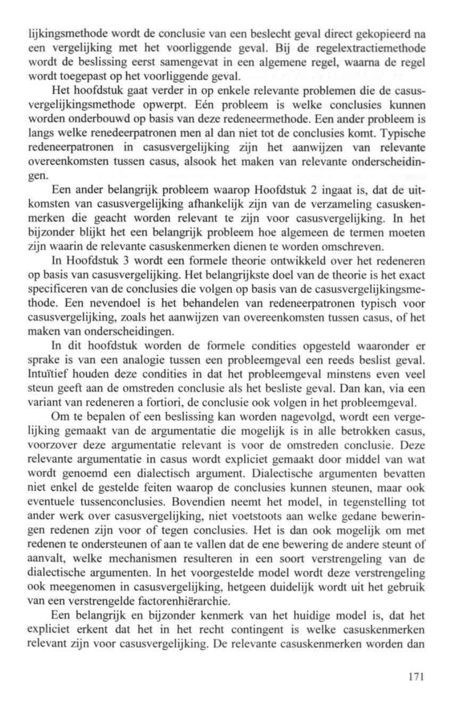lijkingsmethode wordt de conclusie van een beslecht geval direct gekopieerd na een vergelijking met het voorliggende geval. Bij de regelextractiemethode wordt de beslissing eerst samengevat in een algemene regel, waarna de regel wordt toegepast op het voorliggende geval.

Het hoofdstuk gaat verder in op enkele relevante problemen die de casusvergelijkingsmethode opwerpt. Een probleem is welke conclusies kunnen worden onderbouwd op basis van deze redeneermethode. Een ander probleem is längs welke renedeerpatronen men al dan niet tot de conclusies komt. Typische redeneerpatronen in casusvergelijking zijn het aanwijzen van relevante overeenkomsten tussen casus, alsook het maken van relevante onderscheidingen.

Een ander belangrijk probleem waarop Hoofdstuk 2 ingaat is, dat de uitkomsten van casusvergelijking afhankelijk zijn van de verzameling casuskenmerken die geacht worden relevant te zijn voor casusvergelijking. In het bijzonder blijkt het een belangrijk probleem hoe algemeen de termen moeten zijn waarin de relevante casuskenmerken dienen te worden omschreven.

In Hoofdstuk 3 wordt een formele theorie ontwikkeld over het redeneren op basis van casusvergelijking. Het belangrijkste doel van de theorie is het exact specificeren van de conclusies die volgen op basis van de casusvergelijkingsmethode. Een nevendoel is het behandelen van redeneerpatronen typisch voor casusvergelijking, zoals het aanwijzen van overeenkomsten tussen casus, of het maken van onderscheidingen.

In dit hoofdstuk worden de formele condities opgesteld waaronder er sprake is van een analogie tussen een probleemgeval een reeds beslist geval. Intuitief houden deze condities in dat het probleemgeval minstens even veel steun geeft aan de omstreden conclusie als het besliste geval. Dan kan, via een variant van redeneren a fortiori, de conclusie ook volgen in het probleemgeval.

Om te bepalen of een beslissing kan worden nagevolgd, wordt een vergelijking gemaakt van de argumentatie die mogelijk is in alle betrokken casus, voorzover deze argumentatie relevant is voor de omstreden conclusie. Deze relevante argumentatie in casus wordt expliciet gemaakt door middel van wat wordt genoemd een dialectisch argument. Dialectische argumenten bevatten niet enkel de gestelde feiten waarop de conclusies kunnen steunen, maar ook eventuele tussenconclusies. Bovendien neemt het model, in tegenstelling tot ander werk over casusvergelijking, niet voetstoots aan welke gedane beweringen redenen zijn voor of tegen conclusies. Het is dan ook mogelijk om met redenen te ondersteunen of aan te vallen dat de ene bewering de andere steunt of aanvalt, welke mechanismen resulteren in een soort verstrengeling van de dialectische argumenten. In het voorgestelde model wordt deze verstrengeling ook meegenomen in casusvergelijking, hetgeen duidelijk wordt uit het gebruik van een verstrengelde factorenhiërarchie.

Een belangrijk en bijzonder kenmerk van het huidige model is, dat het expliciet erkent dat het in het recht contingent is welke casuskenmerken relevant zijn voor casusvergelijking. De relevante casuskenmerken worden dan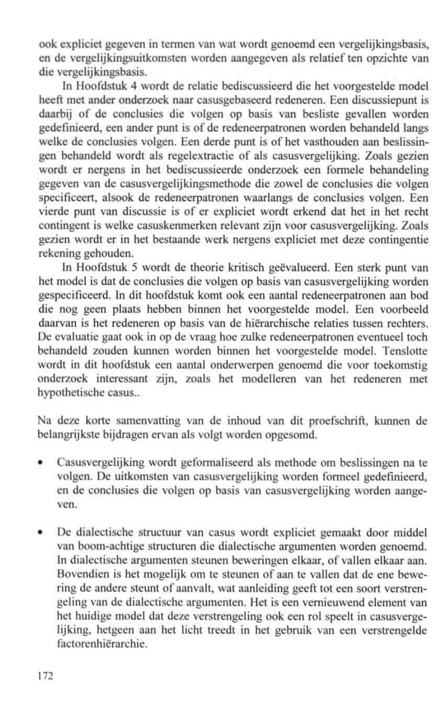ook expliciet gegeven in termen van wat wordt genoemd een vergelijkingsbasis, en de vergelijkingsuitkomsten worden aangegeven als relatief ten opzichte van die vergelijkingsbasis.

In Hoofdstuk 4 wordt de relatie bediscussieerd die het voorgestelde model heeft met ander onderzoek naar casusgebaseerd redeneren. Een discussiepunt is daarbij of de conclusies die volgen op basis van besliste gevallen worden gedefinieerd, een ander punt is of de redeneerpatronen worden behandeld längs welke de conclusies volgen. Een derde punt is of het vasthouden aan beslissingen behandeld wordt als regelextractie of als casusvergelijking. Zoals gezien wordt er nergens in het bediscussieerde onderzoek een formele behandeling gegeven van de casusvergelijkingsmethode die zowel de conclusies die volgen specificeert, alsook de redeneerpatronen waarlangs de conclusies volgen. Een vierde punt van discussie is of er expliciet wordt erkend dat het in het recht contingent is welke casuskenmerken relevant zijn voor casusvergelijking. Zoals gezien wordt er in het bestaande werk nergens expliciet met deze contingentie rekening gehouden.

In Hoofdstuk 5 wordt de theorie kritisch geevalueerd. Een sterk punt van het model is dat de conclusies die volgen op basis van casusvergelijking worden gespecificeerd. In dit hoofdstuk komt ook een aantal redeneerpatronen aan bod die nog geen plaats hebben binnen het voorgestelde model. Een voorbeeld daarvan is het redeneren op basis van de hierarchische relaties tussen rechters. De evaluatie gaat ook in op de vraag hoe zulke redeneerpatronen eventueel toch behandeld zouden kunnen worden binnen het voorgestelde model. Tenslotte wordt in dit hoofdstuk een aantal onderwerpen genoemd die voor toekomstig onderzoek interessant zijn, zoals het modelleren van het redeneren met hypothetische casus..

Na deze korte samenvatting van de inhoud van dit proefschrift, kunnen de belangrijkste bijdragen ervan als volgt worden opgesomd.

- Casusvergelijking wordt geformaliseerd als methode om beslissingen na te volgen. De uitkomsten van casusvergelijking worden formed gedefinieerd, en de conclusies die volgen op basis van casusvergelijking worden aangeven.
- De dialectische structuur van casus wordt expliciet gemaakt door middel van boom-achtige structuren die dialectische argumenten worden genoemd. In dialectische argumenten steunen beweringen elkaar, of vallen elkaar aan. Bovendien is het mogelijk om te steunen of aan te vallen dat de ene bewering de andere steunt of aanvalt, wat aanleiding geeft tot een soort verstrengeling van de dialectische argumenten. Het is een vernieuwend element van het huidige model dat deze verstrengeling ook een rol speelt in casusvergelijking, hetgeen aan het licht treedt in het gebruik van een verstrengelde factorenhiërarchie.